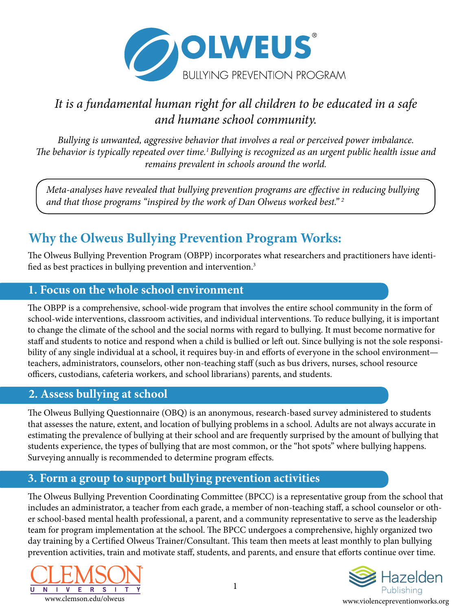

## *It is a fundamental human right for all children to be educated in a safe and humane school community.*

*Bullying is unwanted, aggressive behavior that involves a real or perceived power imbalance. The behavior is typically repeated over time.1 Bullying is recognized as an urgent public health issue and remains prevalent in schools around the world.*

*Meta-analyses have revealed that bullying prevention programs are effective in reducing bullying and that those programs "inspired by the work of Dan Olweus worked best." 2*

# **Why the Olweus Bullying Prevention Program Works:**

The Olweus Bullying Prevention Program (OBPP) incorporates what researchers and practitioners have identified as best practices in bullying prevention and intervention.<sup>3</sup>

#### **1. Focus on the whole school environment**

The OBPP is a comprehensive, school-wide program that involves the entire school community in the form of school-wide interventions, classroom activities, and individual interventions. To reduce bullying, it is important to change the climate of the school and the social norms with regard to bullying. It must become normative for staff and students to notice and respond when a child is bullied or left out. Since bullying is not the sole responsibility of any single individual at a school, it requires buy-in and efforts of everyone in the school environment teachers, administrators, counselors, other non-teaching staff (such as bus drivers, nurses, school resource officers, custodians, cafeteria workers, and school librarians) parents, and students.

#### **2. Assess bullying at school**

The Olweus Bullying Questionnaire (OBQ) is an anonymous, research-based survey administered to students that assesses the nature, extent, and location of bullying problems in a school. Adults are not always accurate in estimating the prevalence of bullying at their school and are frequently surprised by the amount of bullying that students experience, the types of bullying that are most common, or the "hot spots" where bullying happens. Surveying annually is recommended to determine program effects.

### **3. Form a group to support bullying prevention activities**

The Olweus Bullying Prevention Coordinating Committee (BPCC) is a representative group from the school that includes an administrator, a teacher from each grade, a member of non-teaching staff, a school counselor or other school-based mental health professional, a parent, and a community representative to serve as the leadership team for program implementation at the school. The BPCC undergoes a comprehensive, highly organized two day training by a Certified Olweus Trainer/Consultant. This team then meets at least monthly to plan bullying prevention activities, train and motivate staff, students, and parents, and ensure that efforts continue over time.



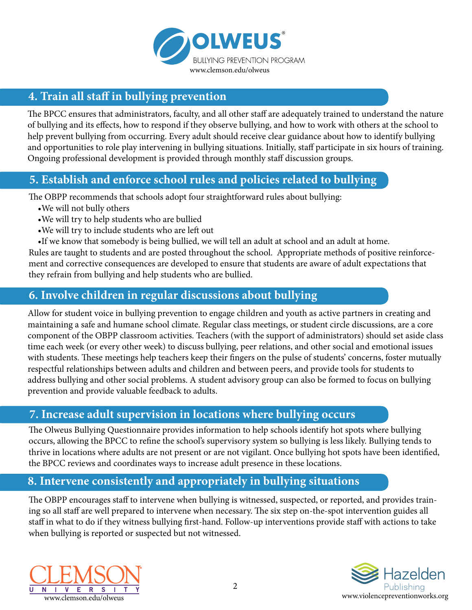

#### **4. Train all staff in bullying prevention**

The BPCC ensures that administrators, faculty, and all other staff are adequately trained to understand the nature of bullying and its effects, how to respond if they observe bullying, and how to work with others at the school to help prevent bullying from occurring. Every adult should receive clear guidance about how to identify bullying and opportunities to role play intervening in bullying situations. Initially, staff participate in six hours of training. Ongoing professional development is provided through monthly staff discussion groups.

#### **5. Establish and enforce school rules and policies related to bullying**

The OBPP recommends that schools adopt four straightforward rules about bullying:

- •We will not bully others
- •We will try to help students who are bullied
- •We will try to include students who are left out
- •If we know that somebody is being bullied, we will tell an adult at school and an adult at home.

Rules are taught to students and are posted throughout the school. Appropriate methods of positive reinforcement and corrective consequences are developed to ensure that students are aware of adult expectations that they refrain from bullying and help students who are bullied.

#### **6. Involve children in regular discussions about bullying**

Allow for student voice in bullying prevention to engage children and youth as active partners in creating and maintaining a safe and humane school climate. Regular class meetings, or student circle discussions, are a core component of the OBPP classroom activities. Teachers (with the support of administrators) should set aside class time each week (or every other week) to discuss bullying, peer relations, and other social and emotional issues with students. These meetings help teachers keep their fingers on the pulse of students' concerns, foster mutually respectful relationships between adults and children and between peers, and provide tools for students to address bullying and other social problems. A student advisory group can also be formed to focus on bullying prevention and provide valuable feedback to adults.

#### **7. Increase adult supervision in locations where bullying occurs**

The Olweus Bullying Questionnaire provides information to help schools identify hot spots where bullying occurs, allowing the BPCC to refine the school's supervisory system so bullying is less likely. Bullying tends to thrive in locations where adults are not present or are not vigilant. Once bullying hot spots have been identified, the BPCC reviews and coordinates ways to increase adult presence in these locations.

#### **8. Intervene consistently and appropriately in bullying situations**

The OBPP encourages staff to intervene when bullying is witnessed, suspected, or reported, and provides training so all staff are well prepared to intervene when necessary. The six step on-the-spot intervention guides all staff in what to do if they witness bullying first-hand. Follow-up interventions provide staff with actions to take when bullying is reported or suspected but not witnessed.